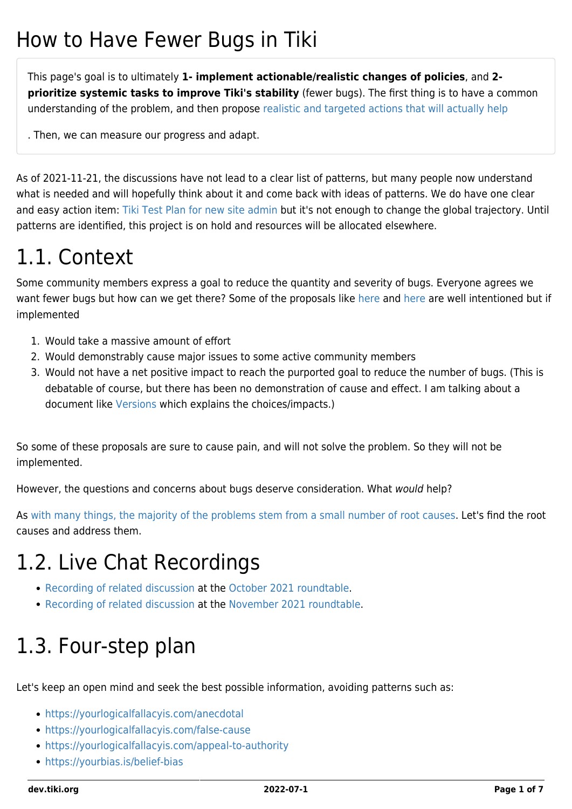# How to Have Fewer Bugs in Tiki

This page's goal is to ultimately **1- implement actionable/realistic changes of policies**, and **2 prioritize systemic tasks to improve Tiki's stability** (fewer bugs). The first thing is to have a common understanding of the problem, and then propose [realistic and targeted actions that will actually help](https://en.wikipedia.org/wiki/Structural_fix)

. Then, we can measure our progress and adapt.

As of 2021-11-21, the discussions have not lead to a clear list of patterns, but many people now understand what is needed and will hopefully think about it and come back with ideas of patterns. We do have one clear and easy action item: [Tiki Test Plan for new site admin](https://dev.tiki.org/Tiki-Test-Plan-for-new-site-admin) but it's not enough to change the global trajectory. Until patterns are identified, this project is on hold and resources will be allocated elsewhere.

# 1.1. Context

Some community members express a goal to reduce the quantity and severity of bugs. Everyone agrees we want fewer bugs but how can we get there? Some of the proposals like [here](https://dev.tiki.org/Rolling-Release-of-Tiki) and [here](https://dev.tiki.org/tiki-view_tracker_item.php?itemId=7838&threadId=9435&cookietab=1#threadId9435) are well intentioned but if implemented

- 1. Would take a massive amount of effort
- 2. Would demonstrably cause major issues to some active community members
- 3. Would not have a net positive impact to reach the purported goal to reduce the number of bugs. (This is debatable of course, but there has been no demonstration of cause and effect. I am talking about a document like [Versions](http://tiki.org/Versions) which explains the choices/impacts.)

So some of these proposals are sure to cause pain, and will not solve the problem. So they will not be implemented.

However, the questions and concerns about bugs deserve consideration. What would help?

As [with many things, the majority of the problems stem from a small number of root causes](https://en.wikipedia.org/wiki/Pareto_principle). Let's find the root causes and address them.

# 1.2. Live Chat Recordings

- [Recording of related discussion](https://recordings.rna1.blindsidenetworks.com/citadelrock/d559965849921585c1849af03b7a51638700d979-1635342911405/presentation/?t=07m52s) at the [October 2021 roundtable](http://tiki.org/Roundtable%20Meeting%202021-10).
- [Recording of related discussion](https://recordings.rna1.blindsidenetworks.com/citadelrock/d559965849921585c1849af03b7a51638700d979-1637506514365/presentation/?t=1h25m05s) at the [November 2021 roundtable](http://tiki.org/Roundtable%20Meeting%202021-11).

# 1.3. Four-step plan

Let's keep an open mind and seek the best possible information, avoiding patterns such as:

- <https://yourlogicalfallacyis.com/anecdotal>
- <https://yourlogicalfallacyis.com/false-cause>
- <https://yourlogicalfallacyis.com/appeal-to-authority>
- <https://yourbias.is/belief-bias>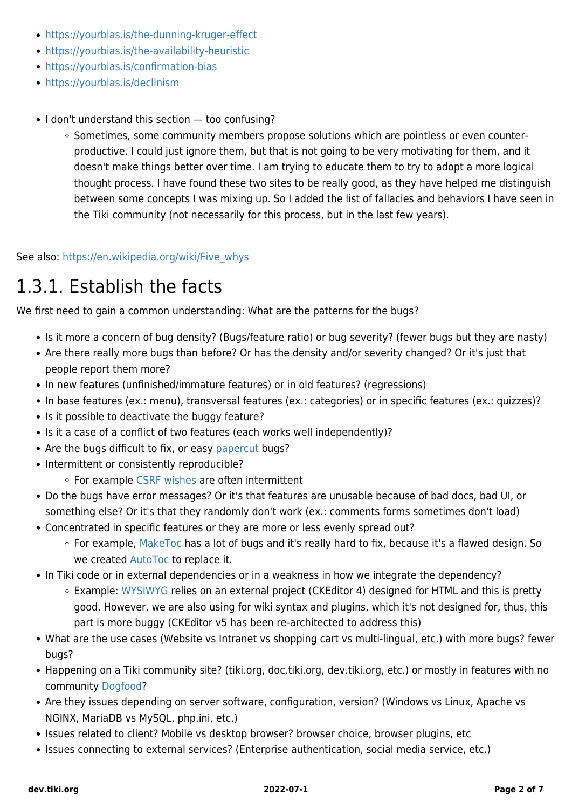- <https://yourbias.is/the-dunning-kruger-effect>
- <https://yourbias.is/the-availability-heuristic>
- <https://yourbias.is/confirmation-bias>
- <https://yourbias.is/declinism>
- I don't understand this section too confusing?
	- Sometimes, some community members propose solutions which are pointless or even counterproductive. I could just ignore them, but that is not going to be very motivating for them, and it doesn't make things better over time. I am trying to educate them to try to adopt a more logical thought process. I have found these two sites to be really good, as they have helped me distinguish between some concepts I was mixing up. So I added the list of fallacies and behaviors I have seen in the Tiki community (not necessarily for this process, but in the last few years).

See also: [https://en.wikipedia.org/wiki/Five\\_whys](https://en.wikipedia.org/wiki/Five_whys)

#### 1.3.1. Establish the facts

We first need to gain a common understanding: What are the patterns for the bugs?

- Is it more a concern of bug density? (Bugs/feature ratio) or bug severity? (fewer bugs but they are nasty)
- Are there really more bugs than before? Or has the density and/or severity changed? Or it's just that people report them more?
- In new features (unfinished/immature features) or in old features? (regressions)
- In base features (ex.: menu), transversal features (ex.: categories) or in specific features (ex.: quizzes)?
- Is it possible to deactivate the buggy feature?
- Is it a case of a conflict of two features (each works well independently)?
- Are the bugs difficult to fix, or easy [papercut](https://en.wikipedia.org/wiki/Paper_cut_bug) bugs?
- Intermittent or consistently reproducible?
	- For example [CSRF wishes](https://dev.tiki.org/CSRF-wishes) are often intermittent
- Do the bugs have error messages? Or it's that features are unusable because of bad docs, bad UI, or something else? Or it's that they randomly don't work (ex.: comments forms sometimes don't load)
- Concentrated in specific features or they are more or less evenly spread out?
	- For example, [MakeToc](https://dev.tiki.org/Maketoc) has a lot of bugs and it's really hard to fix, because it's a flawed design. So we created [AutoToc](http://doc.tiki.org/AutoToc) to replace it.
- In Tiki code or in external dependencies or in a weakness in how we integrate the dependency?
	- Example: [WYSIWYG](https://dev.tiki.org/WYSIWYG) relies on an external project (CKEditor 4) designed for HTML and this is pretty good. However, we are also using for wiki syntax and plugins, which it's not designed for, thus, this part is more buggy (CKEditor v5 has been re-architected to address this)
- What are the use cases (Website vs Intranet vs shopping cart vs multi-lingual, etc.) with more bugs? fewer bugs?
- Happening on a Tiki community site? (tiki.org, doc.tiki.org, dev.tiki.org, etc.) or mostly in features with no community [Dogfood?](http://tiki.org/Dogfood)
- Are they issues depending on server software, configuration, version? (Windows vs Linux, Apache vs NGINX, MariaDB vs MySQL, php.ini, etc.)
- Issues related to client? Mobile vs desktop browser? browser choice, browser plugins, etc
- Issues connecting to external services? (Enterprise authentication, social media service, etc.)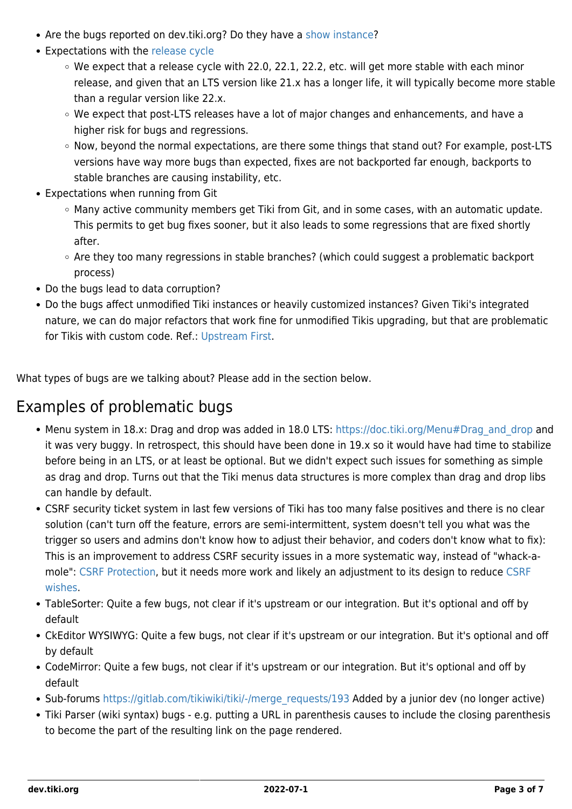- Are the bugs reported on dev.tiki.org? Do they have a [show instance?](https://dev.tiki.org/show.tiki.org-Overview)
- Expectations with the [release cycle](http://tiki.org/Versions)
	- $\circ$  We expect that a release cycle with 22.0, 22.1, 22.2, etc. will get more stable with each minor release, and given that an LTS version like 21.x has a longer life, it will typically become more stable than a regular version like 22.x.
	- We expect that post-LTS releases have a lot of major changes and enhancements, and have a higher risk for bugs and regressions.
	- o Now, beyond the normal expectations, are there some things that stand out? For example, post-LTS versions have way more bugs than expected, fixes are not backported far enough, backports to stable branches are causing instability, etc.
- Expectations when running from Git
	- Many active community members get Tiki from Git, and in some cases, with an automatic update. This permits to get bug fixes sooner, but it also leads to some regressions that are fixed shortly after.
	- Are they too many regressions in stable branches? (which could suggest a problematic backport process)
- Do the bugs lead to data corruption?
- Do the bugs affect unmodified Tiki instances or heavily customized instances? Given Tiki's integrated nature, we can do major refactors that work fine for unmodified Tikis upgrading, but that are problematic for Tikis with custom code. Ref.: [Upstream First.](https://dev.tiki.org/Upstream-First)

What types of bugs are we talking about? Please add in the section below.

#### Examples of problematic bugs

- Menu system in 18.x: Drag and drop was added in 18.0 LTS: [https://doc.tiki.org/Menu#Drag\\_and\\_drop](https://doc.tiki.org/Menu#Drag_and_drop) and it was very buggy. In retrospect, this should have been done in 19.x so it would have had time to stabilize before being in an LTS, or at least be optional. But we didn't expect such issues for something as simple as drag and drop. Turns out that the Tiki menus data structures is more complex than drag and drop libs can handle by default.
- CSRF security ticket system in last few versions of Tiki has too many false positives and there is no clear solution (can't turn off the feature, errors are semi-intermittent, system doesn't tell you what was the trigger so users and admins don't know how to adjust their behavior, and coders don't know what to fix): This is an improvement to address CSRF security issues in a more systematic way, instead of "whack-amole": [CSRF Protection](https://dev.tiki.org/CSRF-Protection), but it needs more work and likely an adjustment to its design to reduce [CSRF](https://dev.tiki.org/CSRF-wishes) [wishes.](https://dev.tiki.org/CSRF-wishes)
- TableSorter: Quite a few bugs, not clear if it's upstream or our integration. But it's optional and off by default
- CkEditor WYSIWYG: Quite a few bugs, not clear if it's upstream or our integration. But it's optional and off by default
- CodeMirror: Quite a few bugs, not clear if it's upstream or our integration. But it's optional and off by default
- Sub-forums [https://gitlab.com/tikiwiki/tiki/-/merge\\_requests/193](https://gitlab.com/tikiwiki/tiki/-/merge_requests/193) Added by a junior dev (no longer active)
- Tiki Parser (wiki syntax) bugs e.g. putting a URL in parenthesis causes to include the closing parenthesis to become the part of the resulting link on the page rendered.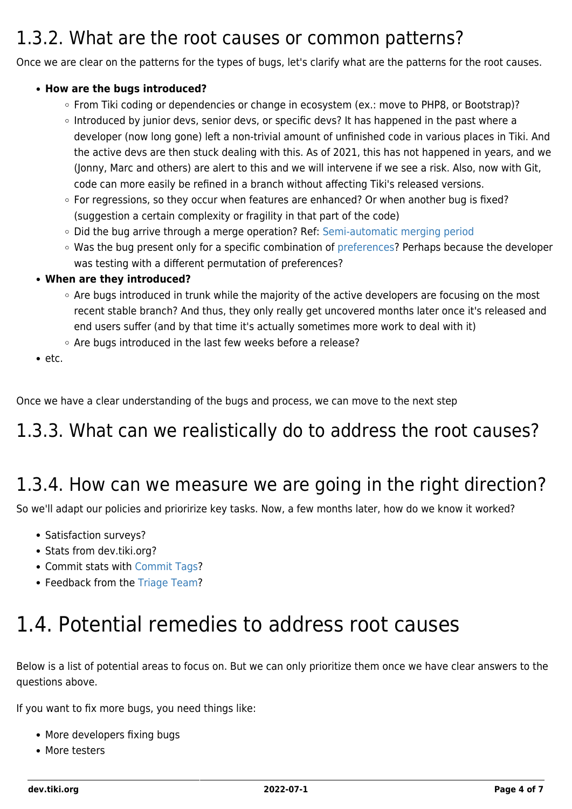#### 1.3.2. What are the root causes or common patterns?

Once we are clear on the patterns for the types of bugs, let's clarify what are the patterns for the root causes.

#### **How are the bugs introduced?**

- From Tiki coding or dependencies or change in ecosystem (ex.: move to PHP8, or Bootstrap)?
- o Introduced by junior devs, senior devs, or specific devs? It has happened in the past where a developer (now long gone) left a non-trivial amount of unfinished code in various places in Tiki. And the active devs are then stuck dealing with this. As of 2021, this has not happened in years, and we (Jonny, Marc and others) are alert to this and we will intervene if we see a risk. Also, now with Git, code can more easily be refined in a branch without affecting Tiki's released versions.
- For regressions, so they occur when features are enhanced? Or when another bug is fixed? (suggestion a certain complexity or fragility in that part of the code)
- Did the bug arrive through a merge operation? Ref: [Semi-automatic merging period](https://dev.tiki.org/Semi-automatic-merging-period)
- Was the bug present only for a specific combination of [preferences?](https://dev.tiki.org/Preferences) Perhaps because the developer was testing with a different permutation of preferences?
- **When are they introduced?**
	- Are bugs introduced in trunk while the majority of the active developers are focusing on the most recent stable branch? And thus, they only really get uncovered months later once it's released and end users suffer (and by that time it's actually sometimes more work to deal with it)
	- Are bugs introduced in the last few weeks before a release?
- $e$  etc.

Once we have a clear understanding of the bugs and process, we can move to the next step

### 1.3.3. What can we realistically do to address the root causes?

#### 1.3.4. How can we measure we are going in the right direction?

So we'll adapt our policies and prioririze key tasks. Now, a few months later, how do we know it worked?

- Satisfaction surveys?
- Stats from dev.tiki.org?
- Commit stats with [Commit Tags](https://dev.tiki.org/Commit-Tags)?
- Feedback from the [Triage Team?](http://tiki.org/Triage%20Team)

# 1.4. Potential remedies to address root causes

Below is a list of potential areas to focus on. But we can only prioritize them once we have clear answers to the questions above.

If you want to fix more bugs, you need things like:

- More developers fixing bugs
- More testers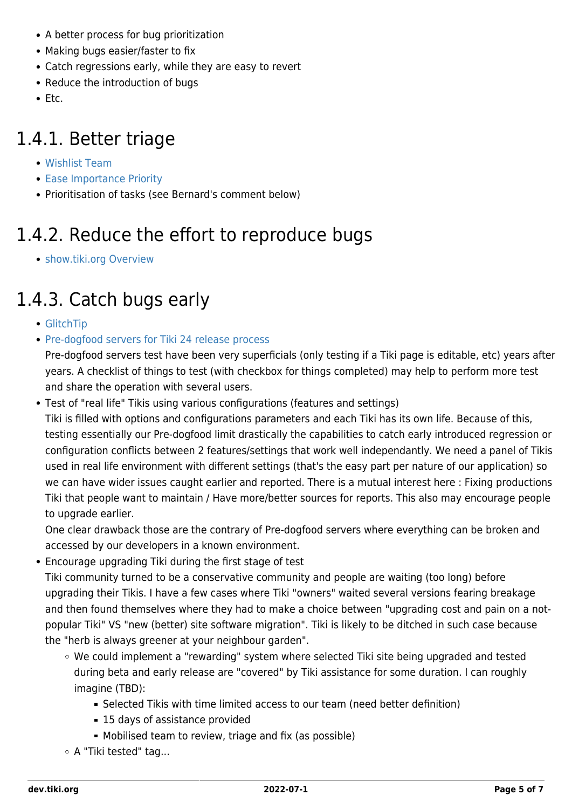- A better process for bug prioritization
- Making bugs easier/faster to fix
- Catch regressions early, while they are easy to revert
- Reduce the introduction of bugs
- $\bullet$  Etc.

### 1.4.1. Better triage

- [Wishlist Team](https://dev.tiki.org/Wishlist-Team)
- [Ease Importance Priority](https://dev.tiki.org/Ease-Importance-Priority)
- Prioritisation of tasks (see Bernard's comment below)

# 1.4.2. Reduce the effort to reproduce bugs

[show.tiki.org Overview](https://dev.tiki.org/show.tiki.org-Overview)

# 1.4.3. Catch bugs early

- [GlitchTip](https://dev.tiki.org/GlitchTip)
- [Pre-dogfood servers for Tiki 24 release process](https://dev.tiki.org/Pre-dogfood-servers-for-Tiki-24-release-process)

Pre-dogfood servers test have been very superficials (only testing if a Tiki page is editable, etc) years after years. A checklist of things to test (with checkbox for things completed) may help to perform more test and share the operation with several users.

Test of "real life" Tikis using various configurations (features and settings)

Tiki is filled with options and configurations parameters and each Tiki has its own life. Because of this, testing essentially our Pre-dogfood limit drastically the capabilities to catch early introduced regression or configuration conflicts between 2 features/settings that work well independantly. We need a panel of Tikis used in real life environment with different settings (that's the easy part per nature of our application) so we can have wider issues caught earlier and reported. There is a mutual interest here : Fixing productions Tiki that people want to maintain / Have more/better sources for reports. This also may encourage people to upgrade earlier.

One clear drawback those are the contrary of Pre-dogfood servers where everything can be broken and accessed by our developers in a known environment.

Encourage upgrading Tiki during the first stage of test

Tiki community turned to be a conservative community and people are waiting (too long) before upgrading their Tikis. I have a few cases where Tiki "owners" waited several versions fearing breakage and then found themselves where they had to make a choice between "upgrading cost and pain on a notpopular Tiki" VS "new (better) site software migration". Tiki is likely to be ditched in such case because the "herb is always greener at your neighbour garden".

- We could implement a "rewarding" system where selected Tiki site being upgraded and tested during beta and early release are "covered" by Tiki assistance for some duration. I can roughly imagine (TBD):
	- Selected Tikis with time limited access to our team (need better definition)
	- 15 days of assistance provided
	- Mobilised team to review, triage and fix (as possible)
- A "Tiki tested" tag...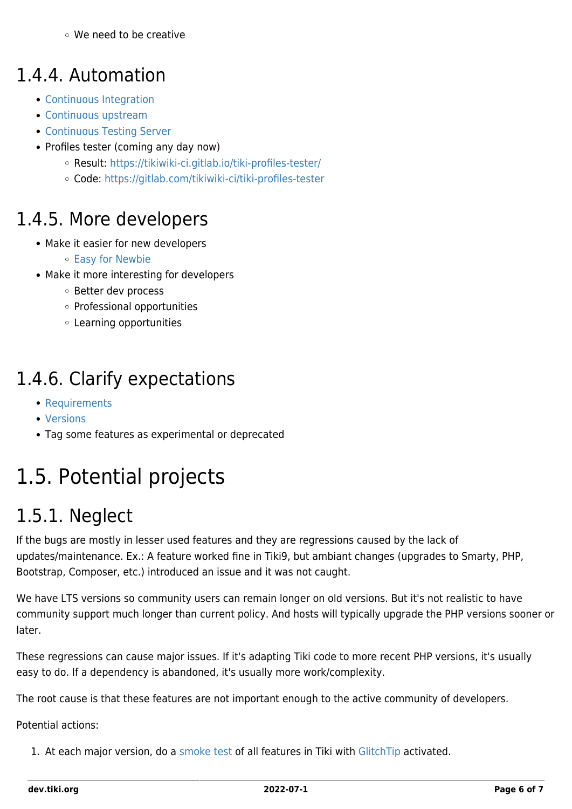#### We need to be creative

#### 1.4.4. Automation

- [Continuous Integration](https://dev.tiki.org/Continuous-Integration)
- [Continuous upstream](https://dev.tiki.org/Continuous-upstream)
- [Continuous Testing Server](https://dev.tiki.org/Continuous-Testing-Server)
- Profiles tester (coming any day now)
	- Result: <https://tikiwiki-ci.gitlab.io/tiki-profiles-tester/>
	- Code: <https://gitlab.com/tikiwiki-ci/tiki-profiles-tester>

#### 1.4.5. More developers

- Make it easier for new developers
	- [Easy for Newbie](https://dev.tiki.org/Easy-for-Newbie)
- Make it more interesting for developers
	- Better dev process
	- Professional opportunities
	- Learning opportunities

#### 1.4.6. Clarify expectations

- [Requirements](http://doc.tiki.org/Requirements)
- [Versions](http://tiki.org/Versions)
- Tag some features as experimental or deprecated

# 1.5. Potential projects

### 1.5.1. Neglect

If the bugs are mostly in lesser used features and they are regressions caused by the lack of updates/maintenance. Ex.: A feature worked fine in Tiki9, but ambiant changes (upgrades to Smarty, PHP, Bootstrap, Composer, etc.) introduced an issue and it was not caught.

We have LTS versions so community users can remain longer on old versions. But it's not realistic to have community support much longer than current policy. And hosts will typically upgrade the PHP versions sooner or later.

These regressions can cause major issues. If it's adapting Tiki code to more recent PHP versions, it's usually easy to do. If a dependency is abandoned, it's usually more work/complexity.

The root cause is that these features are not important enough to the active community of developers.

Potential actions:

1. At each major version, do a [smoke test](https://en.m.wikipedia.org/wiki/Smoke_testing_(software)) of all features in Tiki with [GlitchTip](https://dev.tiki.org/GlitchTip) activated.